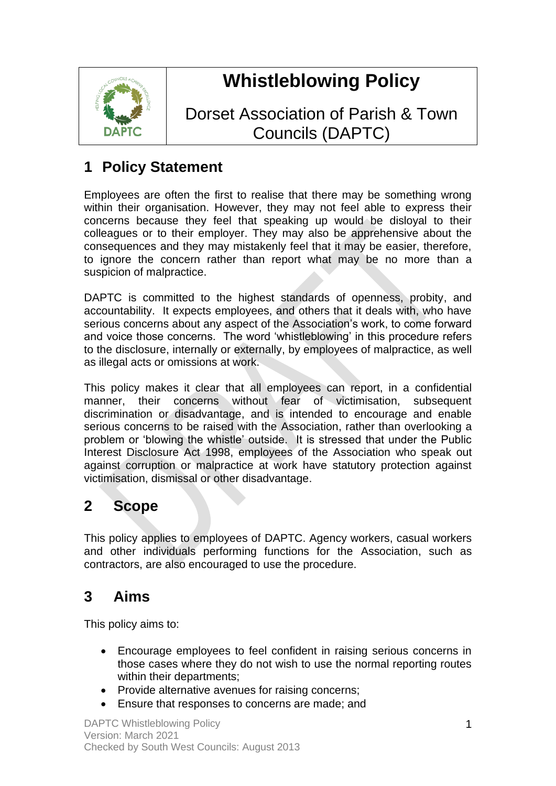

# **Whistleblowing Policy**

Dorset Association of Parish & Town Councils (DAPTC)

# **1 Policy Statement**

Employees are often the first to realise that there may be something wrong within their organisation. However, they may not feel able to express their concerns because they feel that speaking up would be disloyal to their colleagues or to their employer. They may also be apprehensive about the consequences and they may mistakenly feel that it may be easier, therefore, to ignore the concern rather than report what may be no more than a suspicion of malpractice.

DAPTC is committed to the highest standards of openness, probity, and accountability. It expects employees, and others that it deals with, who have serious concerns about any aspect of the Association's work, to come forward and voice those concerns. The word 'whistleblowing' in this procedure refers to the disclosure, internally or externally, by employees of malpractice, as well as illegal acts or omissions at work.

This policy makes it clear that all employees can report, in a confidential manner, their concerns without fear of victimisation, subsequent discrimination or disadvantage, and is intended to encourage and enable serious concerns to be raised with the Association, rather than overlooking a problem or 'blowing the whistle' outside. It is stressed that under the Public Interest Disclosure Act 1998, employees of the Association who speak out against corruption or malpractice at work have statutory protection against victimisation, dismissal or other disadvantage.

# **2 Scope**

This policy applies to employees of DAPTC. Agency workers, casual workers and other individuals performing functions for the Association, such as contractors, are also encouraged to use the procedure.

# **3 Aims**

This policy aims to:

- Encourage employees to feel confident in raising serious concerns in those cases where they do not wish to use the normal reporting routes within their departments;
- Provide alternative avenues for raising concerns;
- Ensure that responses to concerns are made; and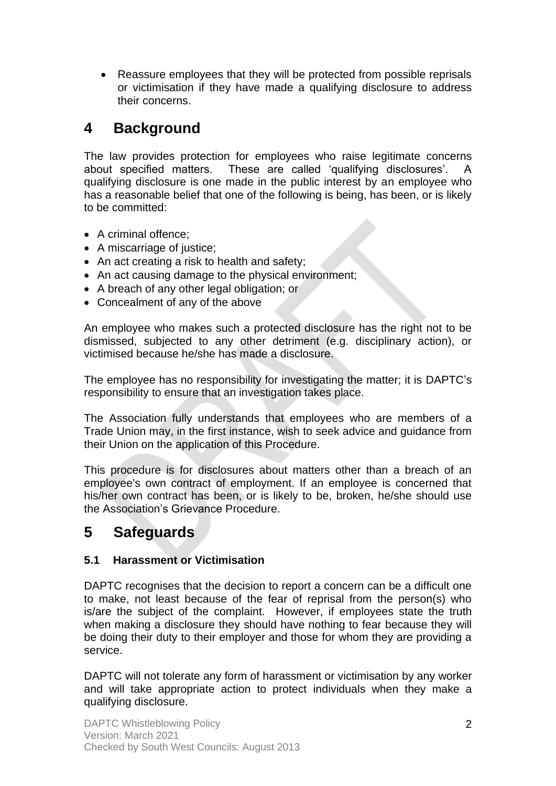• Reassure employees that they will be protected from possible reprisals or victimisation if they have made a qualifying disclosure to address their concerns.

### **4 Background**

The law provides protection for employees who raise legitimate concerns about specified matters. These are called 'qualifying disclosures'. A qualifying disclosure is one made in the public interest by an employee who has a reasonable belief that one of the following is being, has been, or is likely to be committed:

- A criminal offence;
- A miscarriage of justice;
- An act creating a risk to health and safety;
- An act causing damage to the physical environment;
- A breach of any other legal obligation; or
- Concealment of any of the above

An employee who makes such a protected disclosure has the right not to be dismissed, subjected to any other detriment (e.g. disciplinary action), or victimised because he/she has made a disclosure.

The employee has no responsibility for investigating the matter; it is DAPTC's responsibility to ensure that an investigation takes place.

The Association fully understands that employees who are members of a Trade Union may, in the first instance, wish to seek advice and guidance from their Union on the application of this Procedure.

This procedure is for disclosures about matters other than a breach of an employee's own contract of employment. If an employee is concerned that his/her own contract has been, or is likely to be, broken, he/she should use the Association's Grievance Procedure.

## **5 Safeguards**

#### **5.1 Harassment or Victimisation**

DAPTC recognises that the decision to report a concern can be a difficult one to make, not least because of the fear of reprisal from the person(s) who is/are the subject of the complaint. However, if employees state the truth when making a disclosure they should have nothing to fear because they will be doing their duty to their employer and those for whom they are providing a service.

DAPTC will not tolerate any form of harassment or victimisation by any worker and will take appropriate action to protect individuals when they make a qualifying disclosure.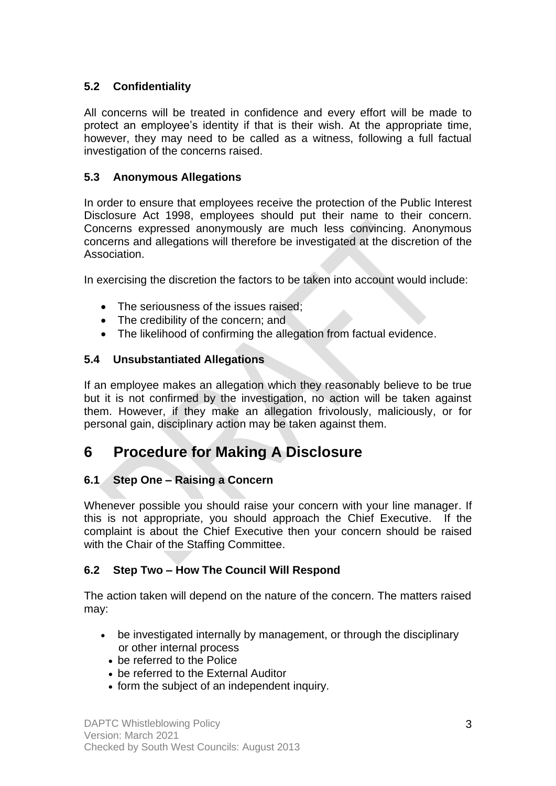#### **5.2 Confidentiality**

All concerns will be treated in confidence and every effort will be made to protect an employee's identity if that is their wish. At the appropriate time, however, they may need to be called as a witness, following a full factual investigation of the concerns raised.

#### **5.3 Anonymous Allegations**

In order to ensure that employees receive the protection of the Public Interest Disclosure Act 1998, employees should put their name to their concern. Concerns expressed anonymously are much less convincing. Anonymous concerns and allegations will therefore be investigated at the discretion of the Association.

In exercising the discretion the factors to be taken into account would include:

- The seriousness of the issues raised:
- The credibility of the concern; and
- The likelihood of confirming the allegation from factual evidence.

#### **5.4 Unsubstantiated Allegations**

If an employee makes an allegation which they reasonably believe to be true but it is not confirmed by the investigation, no action will be taken against them. However, if they make an allegation frivolously, maliciously, or for personal gain, disciplinary action may be taken against them.

## **6 Procedure for Making A Disclosure**

#### **6.1 Step One – Raising a Concern**

Whenever possible you should raise your concern with your line manager. If this is not appropriate, you should approach the Chief Executive. If the complaint is about the Chief Executive then your concern should be raised with the Chair of the Staffing Committee.

#### **6.2 Step Two – How The Council Will Respond**

The action taken will depend on the nature of the concern. The matters raised may:

- be investigated internally by management, or through the disciplinary or other internal process
	- be referred to the Police
	- be referred to the External Auditor
	- form the subject of an independent inquiry.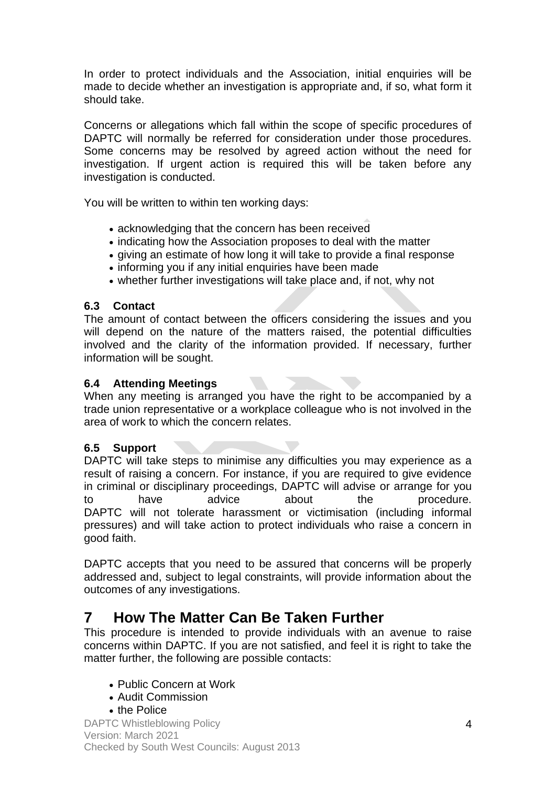In order to protect individuals and the Association, initial enquiries will be made to decide whether an investigation is appropriate and, if so, what form it should take.

Concerns or allegations which fall within the scope of specific procedures of DAPTC will normally be referred for consideration under those procedures. Some concerns may be resolved by agreed action without the need for investigation. If urgent action is required this will be taken before any investigation is conducted.

You will be written to within ten working days:

- acknowledging that the concern has been received
- indicating how the Association proposes to deal with the matter
- giving an estimate of how long it will take to provide a final response
- informing you if any initial enquiries have been made
- whether further investigations will take place and, if not, why not

#### **6.3 Contact**

The amount of contact between the officers considering the issues and you will depend on the nature of the matters raised, the potential difficulties involved and the clarity of the information provided. If necessary, further information will be sought.

#### **6.4 Attending Meetings**

When any meeting is arranged you have the right to be accompanied by a trade union representative or a workplace colleague who is not involved in the area of work to which the concern relates.

#### **6.5 Support**

DAPTC will take steps to minimise any difficulties you may experience as a result of raising a concern. For instance, if you are required to give evidence in criminal or disciplinary proceedings, DAPTC will advise or arrange for you to have advice about the procedure. DAPTC will not tolerate harassment or victimisation (including informal pressures) and will take action to protect individuals who raise a concern in good faith.

DAPTC accepts that you need to be assured that concerns will be properly addressed and, subject to legal constraints, will provide information about the outcomes of any investigations.

### **7 How The Matter Can Be Taken Further**

This procedure is intended to provide individuals with an avenue to raise concerns within DAPTC. If you are not satisfied, and feel it is right to take the matter further, the following are possible contacts:

- Public Concern at Work
- Audit Commission
- the Police

DAPTC Whistleblowing Policy Version: March 2021 Checked by South West Councils: August 2013